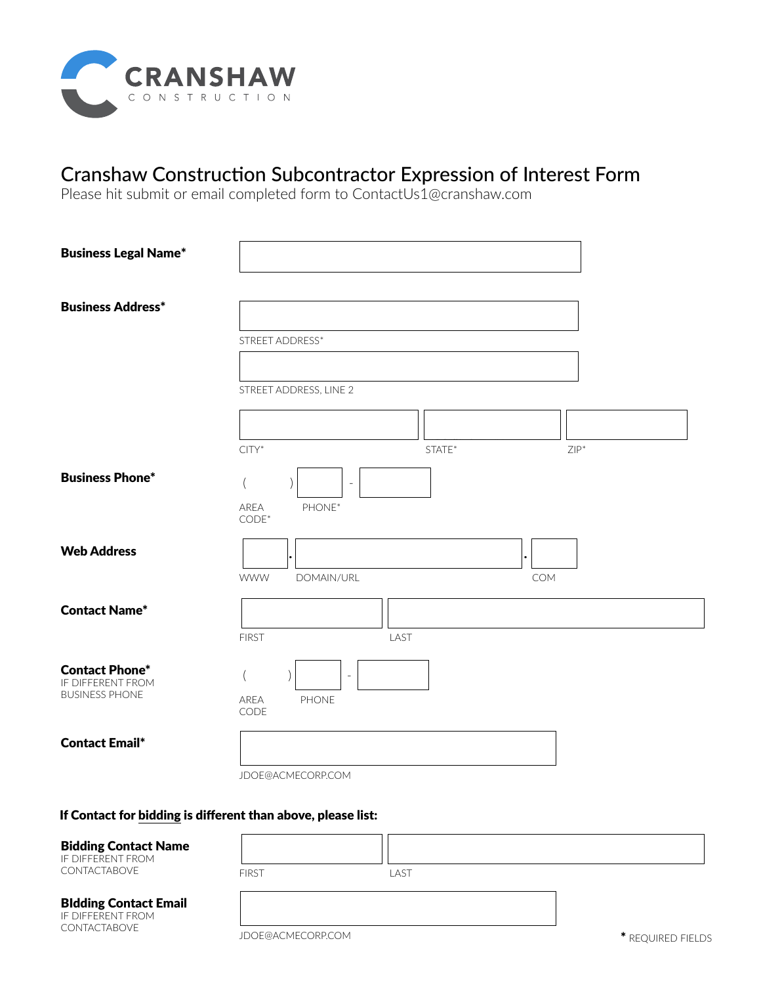

## Cranshaw Construction Subcontractor Expression of Interest Form

Please hit submit or email completed form to ContactUs1@cranshaw.com

| <b>Business Legal Name*</b>                                         |                                                   |
|---------------------------------------------------------------------|---------------------------------------------------|
| <b>Business Address*</b>                                            | STREET ADDRESS*                                   |
|                                                                     | STREET ADDRESS, LINE 2                            |
|                                                                     | $ZIP^*$<br>$CITY^*$<br>STATE*                     |
| <b>Business Phone*</b>                                              | ٠<br>AREA<br>PHONE*<br>$CODE*$                    |
| <b>Web Address</b>                                                  | <b>WWW</b><br>COM<br>DOMAIN/URL                   |
| <b>Contact Name*</b>                                                | <b>FIRST</b><br>LAST                              |
| <b>Contact Phone*</b><br>IF DIFFERENT FROM<br><b>BUSINESS PHONE</b> | $\overline{\phantom{a}}$<br>PHONE<br>AREA<br>CODE |
| <b>Contact Email*</b>                                               | JDOE@ACMECORP.COM                                 |

## If Contact for bidding is different than above, please list:

FIRST

## Bidding Contact Name

IF DIFFERENT FROM CONTACTABOVE

LAST

## BIdding Contact Email

IF DIFFERENT FROM CONTACTABOVE

JDOE@ACMECORP.COM

\* REQUIRED FIELDS